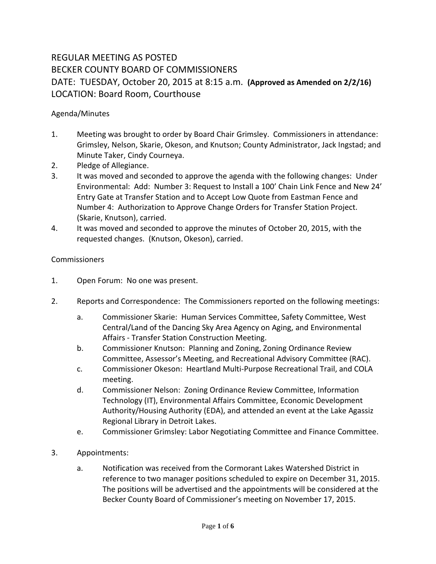# REGULAR MEETING AS POSTED BECKER COUNTY BOARD OF COMMISSIONERS DATE: TUESDAY, October 20, 2015 at 8:15 a.m. **(Approved as Amended on 2/2/16)** LOCATION: Board Room, Courthouse

### Agenda/Minutes

- 1. Meeting was brought to order by Board Chair Grimsley. Commissioners in attendance: Grimsley, Nelson, Skarie, Okeson, and Knutson; County Administrator, Jack Ingstad; and Minute Taker, Cindy Courneya.
- 2. Pledge of Allegiance.
- 3. It was moved and seconded to approve the agenda with the following changes: Under Environmental: Add: Number 3: Request to Install a 100' Chain Link Fence and New 24' Entry Gate at Transfer Station and to Accept Low Quote from Eastman Fence and Number 4: Authorization to Approve Change Orders for Transfer Station Project. (Skarie, Knutson), carried.
- 4. It was moved and seconded to approve the minutes of October 20, 2015, with the requested changes. (Knutson, Okeson), carried.

### Commissioners

- 1. Open Forum: No one was present.
- 2. Reports and Correspondence: The Commissioners reported on the following meetings:
	- a. Commissioner Skarie: Human Services Committee, Safety Committee, West Central/Land of the Dancing Sky Area Agency on Aging, and Environmental Affairs - Transfer Station Construction Meeting.
	- b. Commissioner Knutson: Planning and Zoning, Zoning Ordinance Review Committee, Assessor's Meeting, and Recreational Advisory Committee (RAC).
	- c. Commissioner Okeson: Heartland Multi-Purpose Recreational Trail, and COLA meeting.
	- d. Commissioner Nelson: Zoning Ordinance Review Committee, Information Technology (IT), Environmental Affairs Committee, Economic Development Authority/Housing Authority (EDA), and attended an event at the Lake Agassiz Regional Library in Detroit Lakes.
	- e. Commissioner Grimsley: Labor Negotiating Committee and Finance Committee.
- 3. Appointments:
	- a. Notification was received from the Cormorant Lakes Watershed District in reference to two manager positions scheduled to expire on December 31, 2015. The positions will be advertised and the appointments will be considered at the Becker County Board of Commissioner's meeting on November 17, 2015.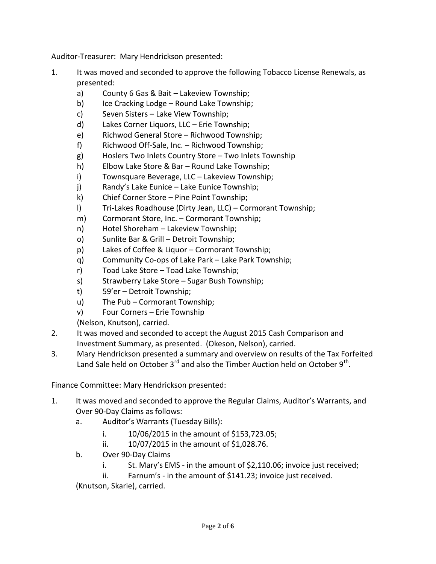Auditor-Treasurer: Mary Hendrickson presented:

- 1. It was moved and seconded to approve the following Tobacco License Renewals, as presented:
	- a) County 6 Gas & Bait Lakeview Township;
	- b) Ice Cracking Lodge Round Lake Township;
	- c) Seven Sisters Lake View Township;
	- d) Lakes Corner Liquors, LLC Erie Township;
	- e) Richwod General Store Richwood Township;
	- f) Richwood Off-Sale, Inc. Richwood Township;
	- g) Hoslers Two Inlets Country Store Two Inlets Township
	- h) Elbow Lake Store & Bar Round Lake Township;
	- i) Townsquare Beverage, LLC Lakeview Township;
	- j) Randy's Lake Eunice Lake Eunice Township;
	- k) Chief Corner Store Pine Point Township;
	- l) Tri-Lakes Roadhouse (Dirty Jean, LLC) Cormorant Township;
	- m) Cormorant Store, Inc. Cormorant Township;
	- n) Hotel Shoreham Lakeview Township;
	- o) Sunlite Bar & Grill Detroit Township;
	- p) Lakes of Coffee & Liquor Cormorant Township;
	- q) Community Co-ops of Lake Park Lake Park Township;
	- r) Toad Lake Store Toad Lake Township;
	- s) Strawberry Lake Store Sugar Bush Township;
	- t) 59'er Detroit Township;
	- u) The Pub Cormorant Township;
	- v) Four Corners Erie Township

(Nelson, Knutson), carried.

- 2. It was moved and seconded to accept the August 2015 Cash Comparison and Investment Summary, as presented. (Okeson, Nelson), carried.
- 3. Mary Hendrickson presented a summary and overview on results of the Tax Forfeited Land Sale held on October 3<sup>rd</sup> and also the Timber Auction held on October 9<sup>th</sup>.

Finance Committee: Mary Hendrickson presented:

- 1. It was moved and seconded to approve the Regular Claims, Auditor's Warrants, and Over 90-Day Claims as follows:
	- a. Auditor's Warrants (Tuesday Bills):
		- i. 10/06/2015 in the amount of \$153,723.05;
		- ii. 10/07/2015 in the amount of \$1,028.76.
	- b. Over 90-Day Claims
		- i. St. Mary's EMS in the amount of \$2,110.06; invoice just received;
		- ii. Farnum's in the amount of \$141.23; invoice just received.

(Knutson, Skarie), carried.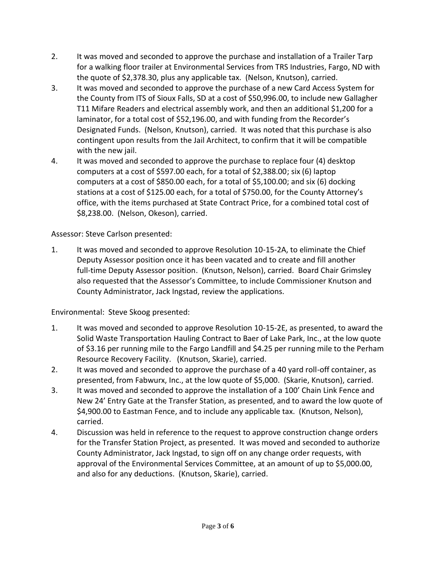- 2. It was moved and seconded to approve the purchase and installation of a Trailer Tarp for a walking floor trailer at Environmental Services from TRS Industries, Fargo, ND with the quote of \$2,378.30, plus any applicable tax. (Nelson, Knutson), carried.
- 3. It was moved and seconded to approve the purchase of a new Card Access System for the County from ITS of Sioux Falls, SD at a cost of \$50,996.00, to include new Gallagher T11 Mifare Readers and electrical assembly work, and then an additional \$1,200 for a laminator, for a total cost of \$52,196.00, and with funding from the Recorder's Designated Funds. (Nelson, Knutson), carried. It was noted that this purchase is also contingent upon results from the Jail Architect, to confirm that it will be compatible with the new jail.
- 4. It was moved and seconded to approve the purchase to replace four (4) desktop computers at a cost of \$597.00 each, for a total of \$2,388.00; six (6) laptop computers at a cost of \$850.00 each, for a total of \$5,100.00; and six (6) docking stations at a cost of \$125.00 each, for a total of \$750.00, for the County Attorney's office, with the items purchased at State Contract Price, for a combined total cost of \$8,238.00. (Nelson, Okeson), carried.

# Assessor: Steve Carlson presented:

1. It was moved and seconded to approve Resolution 10-15-2A, to eliminate the Chief Deputy Assessor position once it has been vacated and to create and fill another full-time Deputy Assessor position. (Knutson, Nelson), carried. Board Chair Grimsley also requested that the Assessor's Committee, to include Commissioner Knutson and County Administrator, Jack Ingstad, review the applications.

Environmental: Steve Skoog presented:

- 1. It was moved and seconded to approve Resolution 10-15-2E, as presented, to award the Solid Waste Transportation Hauling Contract to Baer of Lake Park, Inc., at the low quote of \$3.16 per running mile to the Fargo Landfill and \$4.25 per running mile to the Perham Resource Recovery Facility. (Knutson, Skarie), carried.
- 2. It was moved and seconded to approve the purchase of a 40 yard roll-off container, as presented, from Fabwurx, Inc., at the low quote of \$5,000. (Skarie, Knutson), carried.
- 3. It was moved and seconded to approve the installation of a 100' Chain Link Fence and New 24' Entry Gate at the Transfer Station, as presented, and to award the low quote of \$4,900.00 to Eastman Fence, and to include any applicable tax. (Knutson, Nelson), carried.
- 4. Discussion was held in reference to the request to approve construction change orders for the Transfer Station Project, as presented. It was moved and seconded to authorize County Administrator, Jack Ingstad, to sign off on any change order requests, with approval of the Environmental Services Committee, at an amount of up to \$5,000.00, and also for any deductions. (Knutson, Skarie), carried.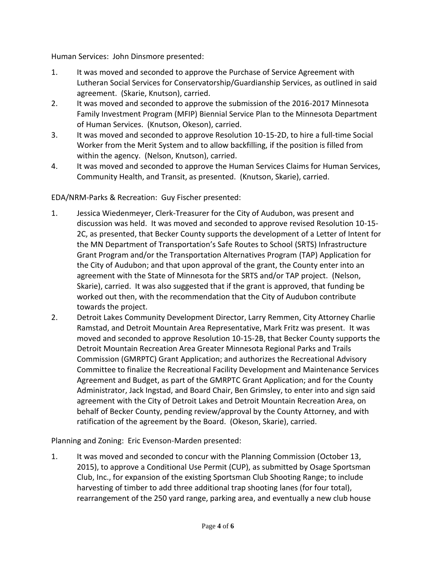Human Services: John Dinsmore presented:

- 1. It was moved and seconded to approve the Purchase of Service Agreement with Lutheran Social Services for Conservatorship/Guardianship Services, as outlined in said agreement. (Skarie, Knutson), carried.
- 2. It was moved and seconded to approve the submission of the 2016-2017 Minnesota Family Investment Program (MFIP) Biennial Service Plan to the Minnesota Department of Human Services. (Knutson, Okeson), carried.
- 3. It was moved and seconded to approve Resolution 10-15-2D, to hire a full-time Social Worker from the Merit System and to allow backfilling, if the position is filled from within the agency. (Nelson, Knutson), carried.
- 4. It was moved and seconded to approve the Human Services Claims for Human Services, Community Health, and Transit, as presented. (Knutson, Skarie), carried.

# EDA/NRM-Parks & Recreation: Guy Fischer presented:

- 1. Jessica Wiedenmeyer, Clerk-Treasurer for the City of Audubon, was present and discussion was held. It was moved and seconded to approve revised Resolution 10-15- 2C, as presented, that Becker County supports the development of a Letter of Intent for the MN Department of Transportation's Safe Routes to School (SRTS) Infrastructure Grant Program and/or the Transportation Alternatives Program (TAP) Application for the City of Audubon; and that upon approval of the grant, the County enter into an agreement with the State of Minnesota for the SRTS and/or TAP project. (Nelson, Skarie), carried. It was also suggested that if the grant is approved, that funding be worked out then, with the recommendation that the City of Audubon contribute towards the project.
- 2. Detroit Lakes Community Development Director, Larry Remmen, City Attorney Charlie Ramstad, and Detroit Mountain Area Representative, Mark Fritz was present. It was moved and seconded to approve Resolution 10-15-2B, that Becker County supports the Detroit Mountain Recreation Area Greater Minnesota Regional Parks and Trails Commission (GMRPTC) Grant Application; and authorizes the Recreational Advisory Committee to finalize the Recreational Facility Development and Maintenance Services Agreement and Budget, as part of the GMRPTC Grant Application; and for the County Administrator, Jack Ingstad, and Board Chair, Ben Grimsley, to enter into and sign said agreement with the City of Detroit Lakes and Detroit Mountain Recreation Area, on behalf of Becker County, pending review/approval by the County Attorney, and with ratification of the agreement by the Board. (Okeson, Skarie), carried.

Planning and Zoning: Eric Evenson-Marden presented:

1. It was moved and seconded to concur with the Planning Commission (October 13, 2015), to approve a Conditional Use Permit (CUP), as submitted by Osage Sportsman Club, Inc., for expansion of the existing Sportsman Club Shooting Range; to include harvesting of timber to add three additional trap shooting lanes (for four total), rearrangement of the 250 yard range, parking area, and eventually a new club house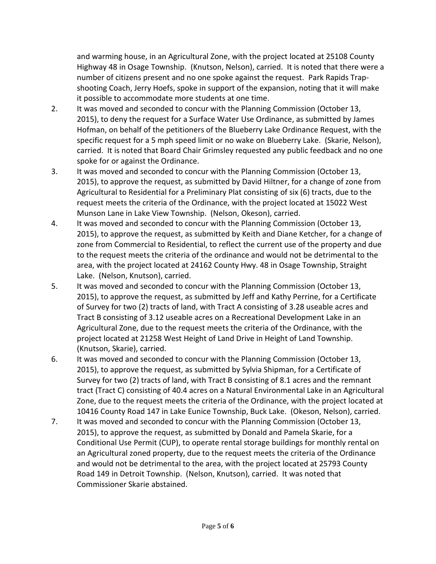and warming house, in an Agricultural Zone, with the project located at 25108 County Highway 48 in Osage Township. (Knutson, Nelson), carried. It is noted that there were a number of citizens present and no one spoke against the request. Park Rapids Trapshooting Coach, Jerry Hoefs, spoke in support of the expansion, noting that it will make it possible to accommodate more students at one time.

- 2. It was moved and seconded to concur with the Planning Commission (October 13, 2015), to deny the request for a Surface Water Use Ordinance, as submitted by James Hofman, on behalf of the petitioners of the Blueberry Lake Ordinance Request, with the specific request for a 5 mph speed limit or no wake on Blueberry Lake. (Skarie, Nelson), carried. It is noted that Board Chair Grimsley requested any public feedback and no one spoke for or against the Ordinance.
- 3. It was moved and seconded to concur with the Planning Commission (October 13, 2015), to approve the request, as submitted by David Hiltner, for a change of zone from Agricultural to Residential for a Preliminary Plat consisting of six (6) tracts, due to the request meets the criteria of the Ordinance, with the project located at 15022 West Munson Lane in Lake View Township. (Nelson, Okeson), carried.
- 4. It was moved and seconded to concur with the Planning Commission (October 13, 2015), to approve the request, as submitted by Keith and Diane Ketcher, for a change of zone from Commercial to Residential, to reflect the current use of the property and due to the request meets the criteria of the ordinance and would not be detrimental to the area, with the project located at 24162 County Hwy. 48 in Osage Township, Straight Lake. (Nelson, Knutson), carried.
- 5. It was moved and seconded to concur with the Planning Commission (October 13, 2015), to approve the request, as submitted by Jeff and Kathy Perrine, for a Certificate of Survey for two (2) tracts of land, with Tract A consisting of 3.28 useable acres and Tract B consisting of 3.12 useable acres on a Recreational Development Lake in an Agricultural Zone, due to the request meets the criteria of the Ordinance, with the project located at 21258 West Height of Land Drive in Height of Land Township. (Knutson, Skarie), carried.
- 6. It was moved and seconded to concur with the Planning Commission (October 13, 2015), to approve the request, as submitted by Sylvia Shipman, for a Certificate of Survey for two (2) tracts of land, with Tract B consisting of 8.1 acres and the remnant tract (Tract C) consisting of 40.4 acres on a Natural Environmental Lake in an Agricultural Zone, due to the request meets the criteria of the Ordinance, with the project located at 10416 County Road 147 in Lake Eunice Township, Buck Lake. (Okeson, Nelson), carried.
- 7. It was moved and seconded to concur with the Planning Commission (October 13, 2015), to approve the request, as submitted by Donald and Pamela Skarie, for a Conditional Use Permit (CUP), to operate rental storage buildings for monthly rental on an Agricultural zoned property, due to the request meets the criteria of the Ordinance and would not be detrimental to the area, with the project located at 25793 County Road 149 in Detroit Township. (Nelson, Knutson), carried. It was noted that Commissioner Skarie abstained.